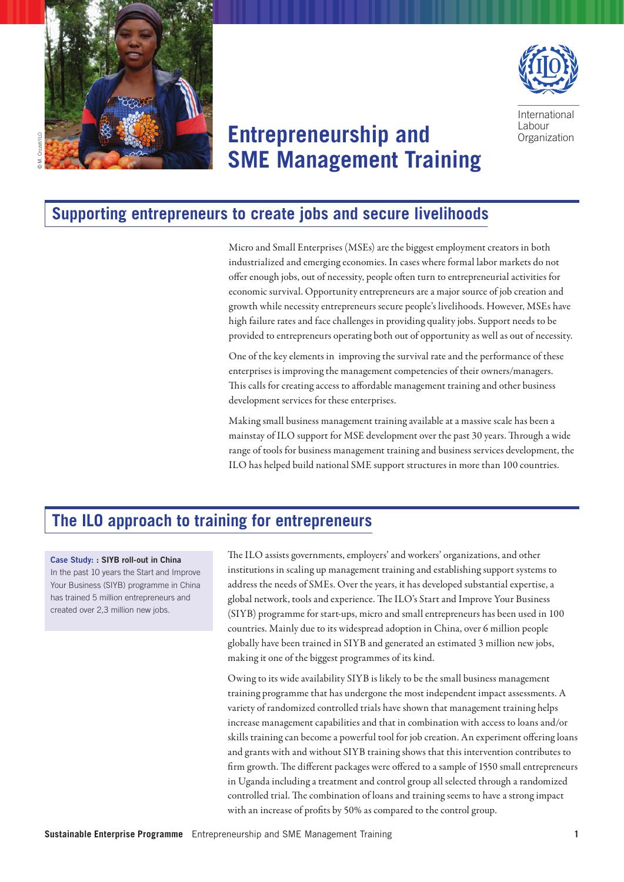



International **Labour Organization** 

# **Entrepreneurship and SME Management Training**

#### **Supporting entrepreneurs to create jobs and secure livelihoods**

Micro and Small Enterprises (MSEs) are the biggest employment creators in both industrialized and emerging economies. In cases where formal labor markets do not offer enough jobs, out of necessity, people often turn to entrepreneurial activities for economic survival. Opportunity entrepreneurs are a major source of job creation and growth while necessity entrepreneurs secure people's livelihoods. However, MSEs have high failure rates and face challenges in providing quality jobs. Support needs to be provided to entrepreneurs operating both out of opportunity as well as out of necessity.

One of the key elements in improving the survival rate and the performance of these enterprises is improving the management competencies of their owners/managers. This calls for creating access to affordable management training and other business development services for these enterprises.

Making small business management training available at a massive scale has been a mainstay of ILO support for MSE development over the past 30 years. Through a wide range of tools for business management training and business services development, the ILO has helped build national SME support structures in more than 100 countries.

# **The ILO approach to training for entrepreneurs**

#### Case Study: : SIYB roll-out in China

In the past 10 years the Start and Improve Your Business (SIYB) programme in China has trained 5 million entrepreneurs and created over 2,3 million new jobs.

The ILO assists governments, employers' and workers' organizations, and other institutions in scaling up management training and establishing support systems to address the needs of SMEs. Over the years, it has developed substantial expertise, a global network, tools and experience. The ILO's Start and Improve Your Business (SIYB) programme for start-ups, micro and small entrepreneurs has been used in 100 countries. Mainly due to its widespread adoption in China, over 6 million people globally have been trained in SIYB and generated an estimated 3 million new jobs, making it one of the biggest programmes of its kind.

Owing to its wide availability SIYB is likely to be the small business management training programme that has undergone the most independent impact assessments. A variety of randomized controlled trials have shown that management training helps increase management capabilities and that in combination with access to loans and/or skills training can become a powerful tool for job creation. An experiment offering loans and grants with and without SIYB training shows that this intervention contributes to firm growth. The different packages were offered to a sample of 1550 small entrepreneurs in Uganda including a treatment and control group all selected through a randomized controlled trial. The combination of loans and training seems to have a strong impact with an increase of profits by 50% as compared to the control group.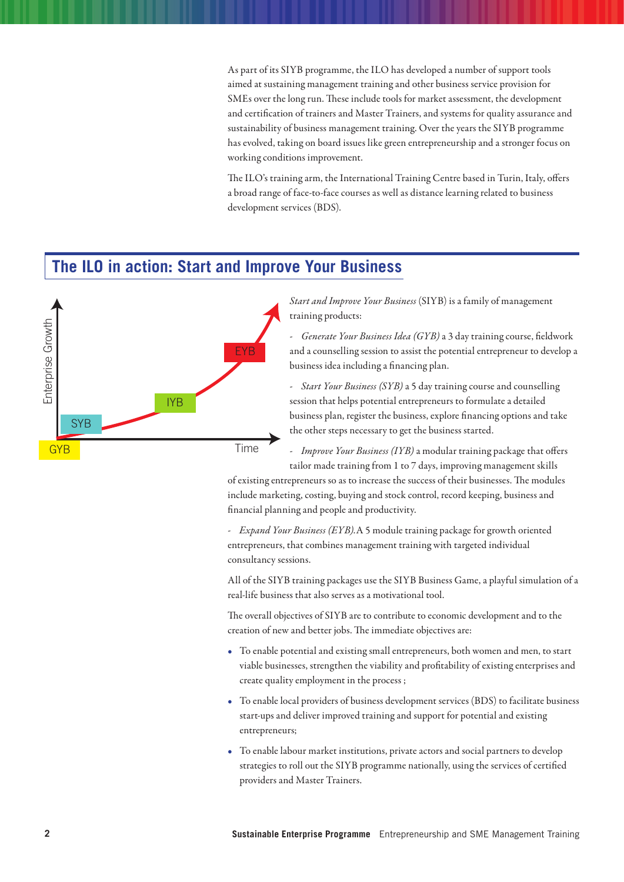As part of its SIYB programme, the ILO has developed a number of support tools aimed at sustaining management training and other business service provision for SMEs over the long run. These include tools for market assessment, the development and certification of trainers and Master Trainers, and systems for quality assurance and sustainability of business management training. Over the years the SIYB programme has evolved, taking on board issues like green entrepreneurship and a stronger focus on working conditions improvement.

The ILO's training arm, the International Training Centre based in Turin, Italy, offers a broad range of face-to-face courses as well as distance learning related to business development services (BDS).

# **The ILO in action: Start and Improve Your Business**



*Start and Improve Your Business* (SIYB) is a family of management training products:

*- Generate Your Business Idea (GYB)* a 3 day training course, fieldwork and a counselling session to assist the potential entrepreneur to develop a business idea including a financing plan.

*- Start Your Business (SYB)* a 5 day training course and counselling session that helps potential entrepreneurs to formulate a detailed business plan, register the business, explore financing options and take the other steps necessary to get the business started.

*- Improve Your Business (IYB)* a modular training package that offers tailor made training from 1 to 7 days, improving management skills

of existing entrepreneurs so as to increase the success of their businesses. The modules include marketing, costing, buying and stock control, record keeping, business and financial planning and people and productivity.

*- Expand Your Business (EYB).*A 5 module training package for growth oriented entrepreneurs, that combines management training with targeted individual consultancy sessions.

All of the SIYB training packages use the SIYB Business Game, a playful simulation of a real-life business that also serves as a motivational tool.

The overall objectives of SIYB are to contribute to economic development and to the creation of new and better jobs. The immediate objectives are:

- • To enable potential and existing small entrepreneurs, both women and men, to start viable businesses, strengthen the viability and profitability of existing enterprises and create quality employment in the process ;
- • To enable local providers of business development services (BDS) to facilitate business start-ups and deliver improved training and support for potential and existing entrepreneurs;
- To enable labour market institutions, private actors and social partners to develop strategies to roll out the SIYB programme nationally, using the services of certified providers and Master Trainers.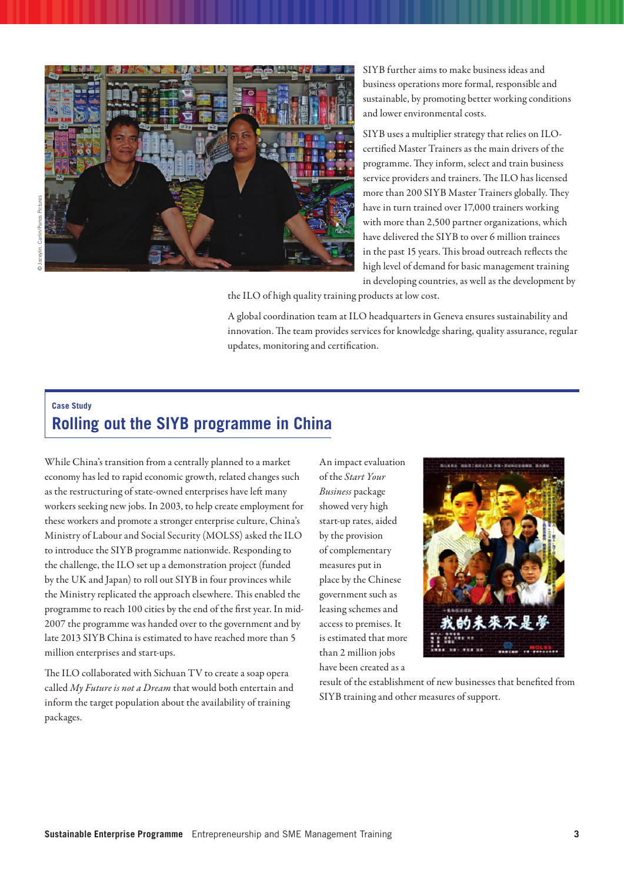

SIYB further aims to make business ideas and business operations more formal, responsible and sustainable, by promoting better working conditions and lower environmental costs.

SIYB uses a multiplier strategy that relies on ILOcertified Master Trainers as the main drivers of the programme. They inform, select and train business service providers and trainers. The ILO has licensed more than 200 SIYB Master Trainers globally. They have in turn trained over 17,000 trainers working with more than 2,500 partner organizations, which have delivered the SIYB to over 6 million trainees in the past 15 years. This broad outreach reflects the high level of demand for basic management training in developing countries, as well as the development by

the ILO of high quality training products at low cost.

A global coordination team at ILO headquarters in Geneva ensures sustainability and innovation. The team provides services for knowledge sharing, quality assurance, regular updates, monitoring and certification.

#### **Case Study Rolling out the SIYB programme in China**

While China's transition from a centrally planned to a market economy has led to rapid economic growth, related changes such as the restructuring of state-owned enterprises have left many workers seeking new jobs. In 2003, to help create employment for these workers and promote a stronger enterprise culture, China's Ministry of Labour and Social Security (MOLSS) asked the ILO to introduce the SIYB programme nationwide. Responding to the challenge, the ILO set up a demonstration project (funded by the UK and Japan) to roll out SIYB in four provinces while the Ministry replicated the approach elsewhere. This enabled the programme to reach 100 cities by the end of the first year. In mid-2007 the programme was handed over to the government and by late 2013 SIYB China is estimated to have reached more than 5 million enterprises and start-ups.

The ILO collaborated with Sichuan TV to create a soap opera called *My Future is not a Dream* that would both entertain and inform the target population about the availability of training packages.

An impact evaluation of the *Start Your Business* package showed very high start-up rates, aided by the provision of complementary measures put in place by the Chinese government such as leasing schemes and access to premises. It is estimated that more than 2 million jobs have been created as a



result of the establishment of new businesses that benefited from SIYB training and other measures of support.